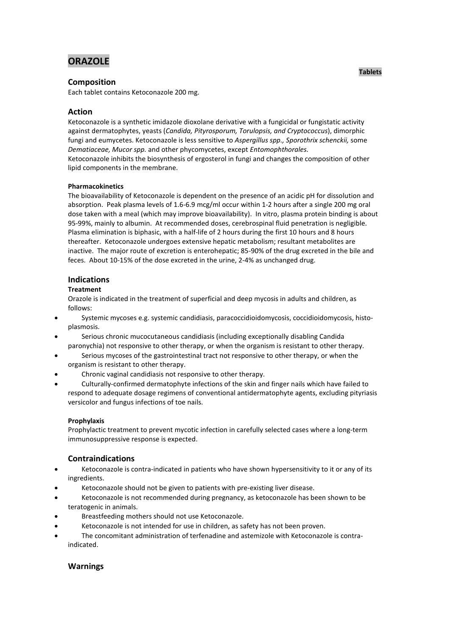# **ORAZOLE**

# **Composition**

Each tablet contains Ketoconazole 200 mg.

# **Action**

Ketoconazole is a synthetic imidazole dioxolane derivative with a fungicidal or fungistatic activity against dermatophytes, yeasts (*Candida, Pityrosporum, Torulopsis, and Cryptococcus*), dimorphic fungi and eumycetes. Ketoconazole is less sensitive to *Aspergillus spp., Sporothrix schenckii,* some *Dematiaceae, Mucor spp.* and other phycomycetes, except *Entomophthorales.* Ketoconazole inhibits the biosynthesis of ergosterol in fungi and changes the composition of other lipid components in the membrane.

## **Pharmacokinetics**

The bioavailability of Ketoconazole is dependent on the presence of an acidic pH for dissolution and absorption. Peak plasma levels of 1.6-6.9 mcg/ml occur within 1-2 hours after a single 200 mg oral dose taken with a meal (which may improve bioavailability). In vitro, plasma protein binding is about 95-99%, mainly to albumin. At recommended doses, cerebrospinal fluid penetration is negligible. Plasma elimination is biphasic, with a half-life of 2 hours during the first 10 hours and 8 hours thereafter. Ketoconazole undergoes extensive hepatic metabolism; resultant metabolites are inactive. The major route of excretion is enterohepatic; 85-90% of the drug excreted in the bile and feces. About 10-15% of the dose excreted in the urine, 2-4% as unchanged drug.

# **Indications**

## **Treatment**

Orazole is indicated in the treatment of superficial and deep mycosis in adults and children, as follows:

- Systemic mycoses e.g. systemic candidiasis, paracoccidioidomycosis, coccidioidomycosis, histoplasmosis.
- Serious chronic mucocutaneous candidiasis (including exceptionally disabling Candida paronychia) not responsive to other therapy, or when the organism is resistant to other therapy.
- Serious mycoses of the gastrointestinal tract not responsive to other therapy, or when the organism is resistant to other therapy.
- Chronic vaginal candidiasis not responsive to other therapy.
- Culturally-confirmed dermatophyte infections of the skin and finger nails which have failed to respond to adequate dosage regimens of conventional antidermatophyte agents, excluding pityriasis versicolor and fungus infections of toe nails.

## **Prophylaxis**

Prophylactic treatment to prevent mycotic infection in carefully selected cases where a long-term immunosuppressive response is expected.

# **Contraindications**

- Ketoconazole is contra-indicated in patients who have shown hypersensitivity to it or any of its ingredients.
- Ketoconazole should not be given to patients with pre-existing liver disease.
- Ketoconazole is not recommended during pregnancy, as ketoconazole has been shown to be teratogenic in animals.
- Breastfeeding mothers should not use Ketoconazole.
- Ketoconazole is not intended for use in children, as safety has not been proven.
- The concomitant administration of terfenadine and astemizole with Ketoconazole is contraindicated.

# **Warnings**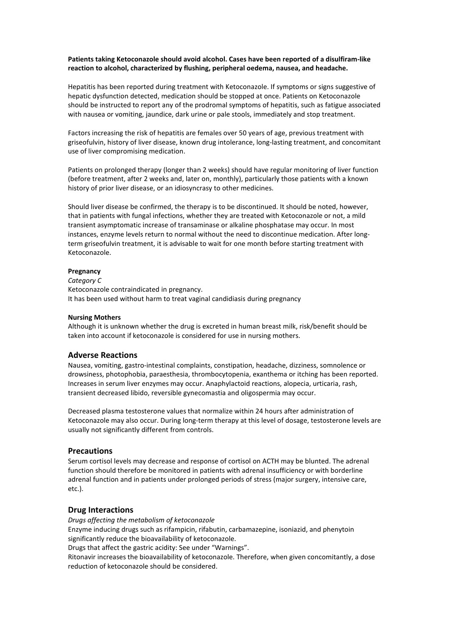## **Patients taking Ketoconazole should avoid alcohol. Cases have been reported of a disulfiram-like reaction to alcohol, characterized by flushing, peripheral oedema, nausea, and headache.**

Hepatitis has been reported during treatment with Ketoconazole. If symptoms or signs suggestive of hepatic dysfunction detected, medication should be stopped at once. Patients on Ketoconazole should be instructed to report any of the prodromal symptoms of hepatitis, such as fatigue associated with nausea or vomiting, jaundice, dark urine or pale stools, immediately and stop treatment.

Factors increasing the risk of hepatitis are females over 50 years of age, previous treatment with griseofulvin, history of liver disease, known drug intolerance, long-lasting treatment, and concomitant use of liver compromising medication.

Patients on prolonged therapy (longer than 2 weeks) should have regular monitoring of liver function (before treatment, after 2 weeks and, later on, monthly), particularly those patients with a known history of prior liver disease, or an idiosyncrasy to other medicines.

Should liver disease be confirmed, the therapy is to be discontinued. It should be noted, however, that in patients with fungal infections, whether they are treated with Ketoconazole or not, a mild transient asymptomatic increase of transaminase or alkaline phosphatase may occur. In most instances, enzyme levels return to normal without the need to discontinue medication. After longterm griseofulvin treatment, it is advisable to wait for one month before starting treatment with Ketoconazole.

#### **Pregnancy**

*Category C*  Ketoconazole contraindicated in pregnancy. It has been used without harm to treat vaginal candidiasis during pregnancy

#### **Nursing Mothers**

Although it is unknown whether the drug is excreted in human breast milk, risk/benefit should be taken into account if ketoconazole is considered for use in nursing mothers.

## **Adverse Reactions**

Nausea, vomiting, gastro-intestinal complaints, constipation, headache, dizziness, somnolence or drowsiness, photophobia, paraesthesia, thrombocytopenia, exanthema or itching has been reported. Increases in serum liver enzymes may occur. Anaphylactoid reactions, alopecia, urticaria, rash, transient decreased libido, reversible gynecomastia and oligospermia may occur.

Decreased plasma testosterone values that normalize within 24 hours after administration of Ketoconazole may also occur. During long-term therapy at this level of dosage, testosterone levels are usually not significantly different from controls.

## **Precautions**

Serum cortisol levels may decrease and response of cortisol on ACTH may be blunted. The adrenal function should therefore be monitored in patients with adrenal insufficiency or with borderline adrenal function and in patients under prolonged periods of stress (major surgery, intensive care, etc.).

## **Drug Interactions**

*Drugs affecting the metabolism of ketoconazole* Enzyme inducing drugs such as rifampicin, rifabutin, carbamazepine, isoniazid, and phenytoin significantly reduce the bioavailability of ketoconazole.

Drugs that affect the gastric acidity: See under "Warnings".

Ritonavir increases the bioavailability of ketoconazole. Therefore, when given concomitantly, a dose reduction of ketoconazole should be considered.